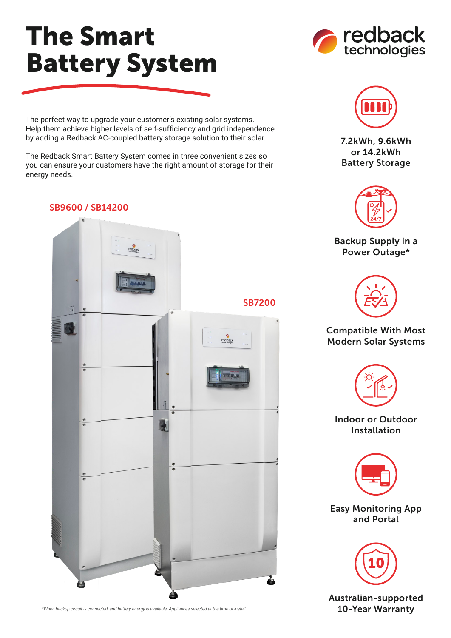## The Smart Battery System

The perfect way to upgrade your customer's existing solar systems. Help them achieve higher levels of self-sufficiency and grid independence by adding a Redback AC-coupled battery storage solution to their solar.

The Redback Smart Battery System comes in three convenient sizes so you can ensure your customers have the right amount of storage for their energy needs.

## SB9600 / SB14200



*\*When backup circuit is connected, and battery energy is available. Appliances selected at the time of install.*





7.2kWh, 9.6kWh or 14.2kWh Battery Storage



Backup Supply in a Power Outage\*



## Compatible With Most Modern Solar Systems



Indoor or Outdoor Installation



Easy Monitoring App and Portal



Australian-supported 10-Year Warranty